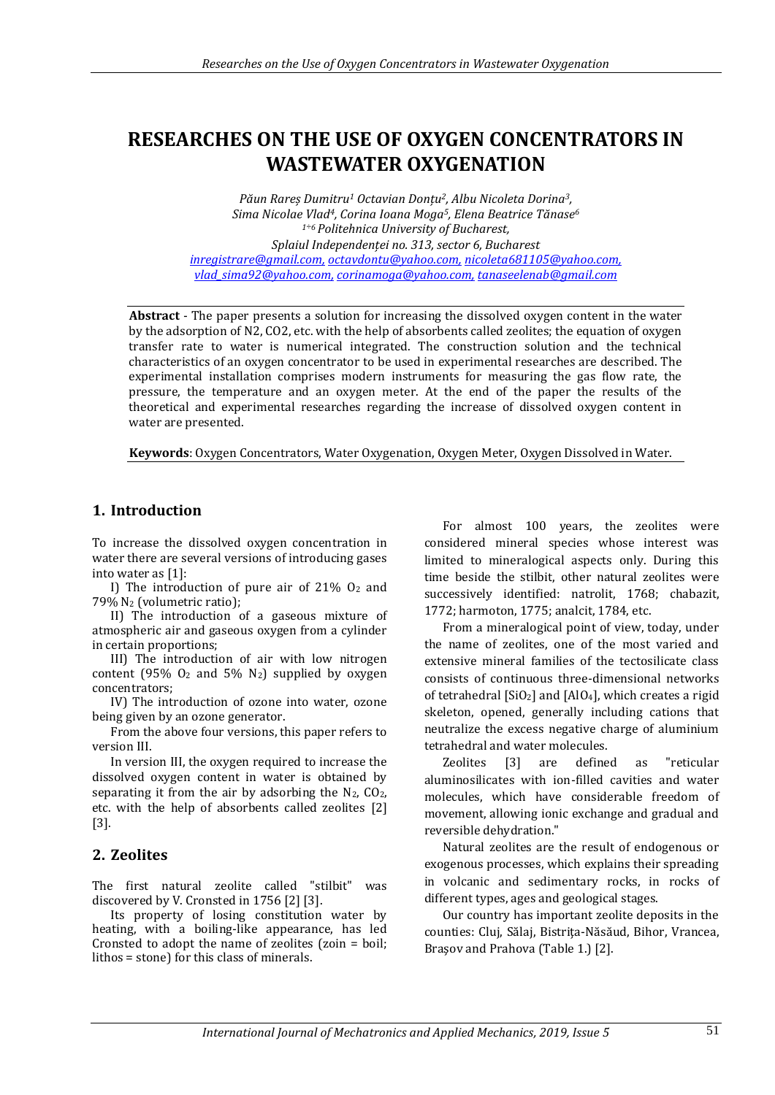# **RESEARCHES ON THE USE OF OXYGEN CONCENTRATORS IN WASTEWATER OXYGENATION**

*Păun Rareș Dumitru<sup>1</sup> Octavian Donțu2, Albu Nicoleta Dorina3, Sima Nicolae Vlad4, Corina Ioana Moga5, Elena Beatrice Tănase<sup>6</sup> <sup>1</sup>÷6 Politehnica University of Bucharest, Splaiul Independenței no. 313, sector 6, Bucharest [inregistrare@gmail.com,](mailto:inregistrare@gmail.com) [octavdontu@yahoo.com,](mailto:octavdontu@yahoo.com) [nicoleta681105@yahoo.com,](mailto:n_baran_fimm@yahoo.com) [vlad\\_sima92@yahoo.com,](mailto:n_baran_fimm@yahoo.com) [corinamoga@yahoo.com,](mailto:corinamoga@yahoo.com) [tanaseelenab@gmail.com](mailto:tanaseelenab@gmail.com)*

**Abstract** - The paper presents a solution for increasing the dissolved oxygen content in the water by the adsorption of N2, CO2, etc. with the help of absorbents called zeolites; the equation of oxygen transfer rate to water is numerical integrated. The construction solution and the technical characteristics of an oxygen concentrator to be used in experimental researches are described. The experimental installation comprises modern instruments for measuring the gas flow rate, the pressure, the temperature and an oxygen meter. At the end of the paper the results of the theoretical and experimental researches regarding the increase of dissolved oxygen content in water are presented.

**Keywords**: Oxygen Concentrators, Water Oxygenation, Oxygen Meter, Oxygen Dissolved in Water.

# **1. Introduction**

To increase the dissolved oxygen concentration in water there are several versions of introducing gases into water as [1]:

I) The introduction of pure air of  $21\%$  O<sub>2</sub> and 79% N<sup>2</sup> (volumetric ratio);

II) The introduction of a gaseous mixture of atmospheric air and gaseous oxygen from a cylinder in certain proportions;

III) The introduction of air with low nitrogen content (95%  $O_2$  and 5%  $N_2$ ) supplied by oxygen concentrators;

IV) The introduction of ozone into water, ozone being given by an ozone generator.

From the above four versions, this paper refers to version III.

In version III, the oxygen required to increase the dissolved oxygen content in water is obtained by separating it from the air by adsorbing the  $N_2$ ,  $CO_2$ , etc. with the help of absorbents called zeolites [2] [3].

## **2. Zeolites**

The first natural zeolite called "stilbit" was discovered by V. Cronsted in 1756 [2] [3].

Its property of losing constitution water by heating, with a boiling-like appearance, has led Cronsted to adopt the name of zeolites (zoin = boil; lithos = stone) for this class of minerals.

For almost 100 years, the zeolites were considered mineral species whose interest was limited to mineralogical aspects only. During this time beside the stilbit, other natural zeolites were successively identified: natrolit, 1768; chabazit, 1772; harmoton, 1775; analcit, 1784, etc.

From a mineralogical point of view, today, under the name of zeolites, one of the most varied and extensive mineral families of the tectosilicate class consists of continuous three-dimensional networks of tetrahedral  $[SiO_2]$  and  $[AIO_4]$ , which creates a rigid skeleton, opened, generally including cations that neutralize the excess negative charge of aluminium tetrahedral and water molecules.

Zeolites [3] are defined as "reticular aluminosilicates with ion-filled cavities and water molecules, which have considerable freedom of movement, allowing ionic exchange and gradual and reversible dehydration."

Natural zeolites are the result of endogenous or exogenous processes, which explains their spreading in volcanic and sedimentary rocks, in rocks of different types, ages and geological stages.

Our country has important zeolite deposits in the counties: Cluj, Sălaj, Bistriţa-Năsăud, Bihor, Vrancea, Braşov and Prahova (Table 1.) [2].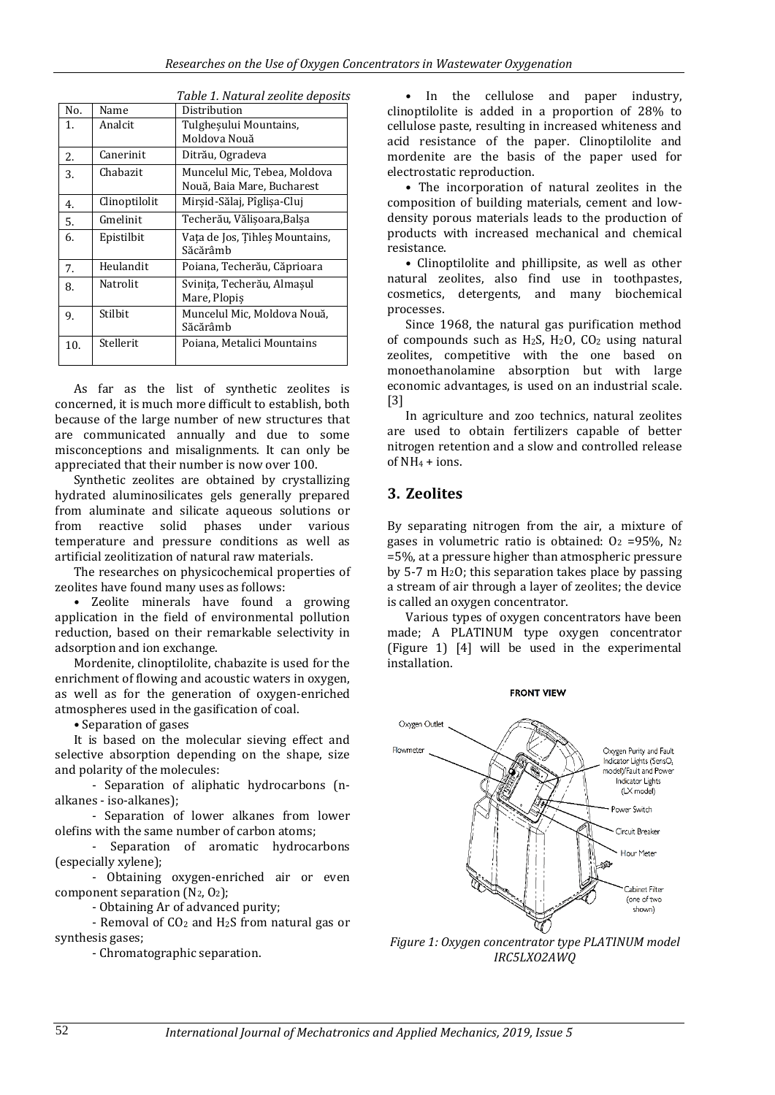| No. | Name          | Distribution                   |
|-----|---------------|--------------------------------|
| 1.  | Analcit       | Tulgheșului Mountains,         |
|     |               | Moldova Nouă                   |
| 2.  | Canerinit     | Ditrău, Ogradeva               |
| 3.  | Chabazit      | Muncelul Mic, Tebea, Moldova   |
|     |               | Nouă, Baia Mare, Bucharest     |
| 4.  | Clinoptilolit | Mirşid-Sălaj, Pîglişa-Cluj     |
| 5.  | Gmelinit      | Techerău, Vălisoara, Balsa     |
| 6.  | Epistilbit    | Vata de Jos, Tihles Mountains, |
|     |               | Săcărâmb                       |
| 7.  | Heulandit     | Poiana, Techerău, Căprioara    |
| 8.  | Natrolit      | Svinita, Techerău, Almașul     |
|     |               | Mare, Plopiş                   |
| 9.  | Stilbit       | Muncelul Mic, Moldova Nouă,    |
|     |               | Săcărâmb                       |
| 10. | Stellerit     | Poiana, Metalici Mountains     |
|     |               |                                |

*Table 1. Natural zeolite deposits*

As far as the list of synthetic zeolites is concerned, it is much more difficult to establish, both because of the large number of new structures that are communicated annually and due to some misconceptions and misalignments. It can only be appreciated that their number is now over 100.

Synthetic zeolites are obtained by crystallizing hydrated aluminosilicates gels generally prepared from aluminate and silicate aqueous solutions or from reactive solid phases under various temperature and pressure conditions as well as artificial zeolitization of natural raw materials.

The researches on physicochemical properties of zeolites have found many uses as follows:

• Zeolite minerals have found a growing application in the field of environmental pollution reduction, based on their remarkable selectivity in adsorption and ion exchange.

Mordenite, clinoptilolite, chabazite is used for the enrichment of flowing and acoustic waters in oxygen, as well as for the generation of oxygen-enriched atmospheres used in the gasification of coal.

• Separation of gases

It is based on the molecular sieving effect and selective absorption depending on the shape, size and polarity of the molecules:

- Separation of aliphatic hydrocarbons (nalkanes - iso-alkanes);

- Separation of lower alkanes from lower olefins with the same number of carbon atoms;

- Separation of aromatic hydrocarbons (especially xylene);

- Obtaining oxygen-enriched air or even component separation  $(N_2, 0_2)$ ;

- Obtaining Ar of advanced purity;

- Removal of CO<sup>2</sup> and H2S from natural gas or synthesis gases;

- Chromatographic separation.

• In the cellulose and paper industry, clinoptilolite is added in a proportion of 28% to cellulose paste, resulting in increased whiteness and acid resistance of the paper. Clinoptilolite and mordenite are the basis of the paper used for electrostatic reproduction.

• The incorporation of natural zeolites in the composition of building materials, cement and lowdensity porous materials leads to the production of products with increased mechanical and chemical resistance.

• Clinoptilolite and phillipsite, as well as other natural zeolites, also find use in toothpastes, cosmetics, detergents, and many biochemical processes.

Since 1968, the natural gas purification method of compounds such as  $H_2S$ ,  $H_2O$ ,  $CO_2$  using natural zeolites, competitive with the one based on monoethanolamine absorption but with large economic advantages, is used on an industrial scale. [3]

In agriculture and zoo technics, natural zeolites are used to obtain fertilizers capable of better nitrogen retention and a slow and controlled release of  $NH_4$  + ions.

#### **3. Zeolites**

By separating nitrogen from the air, a mixture of gases in volumetric ratio is obtained:  $O_2$  =95%, N<sub>2</sub> =5%, at a pressure higher than atmospheric pressure by 5-7 m  $H<sub>2</sub>O$ ; this separation takes place by passing a stream of air through a layer of zeolites; the device is called an oxygen concentrator.

Various types of oxygen concentrators have been made; A PLATINUM type oxygen concentrator (Figure 1) [4] will be used in the experimental installation.



*Figure 1: Oxygen concentrator type PLATINUM model IRC5LXO2AWQ*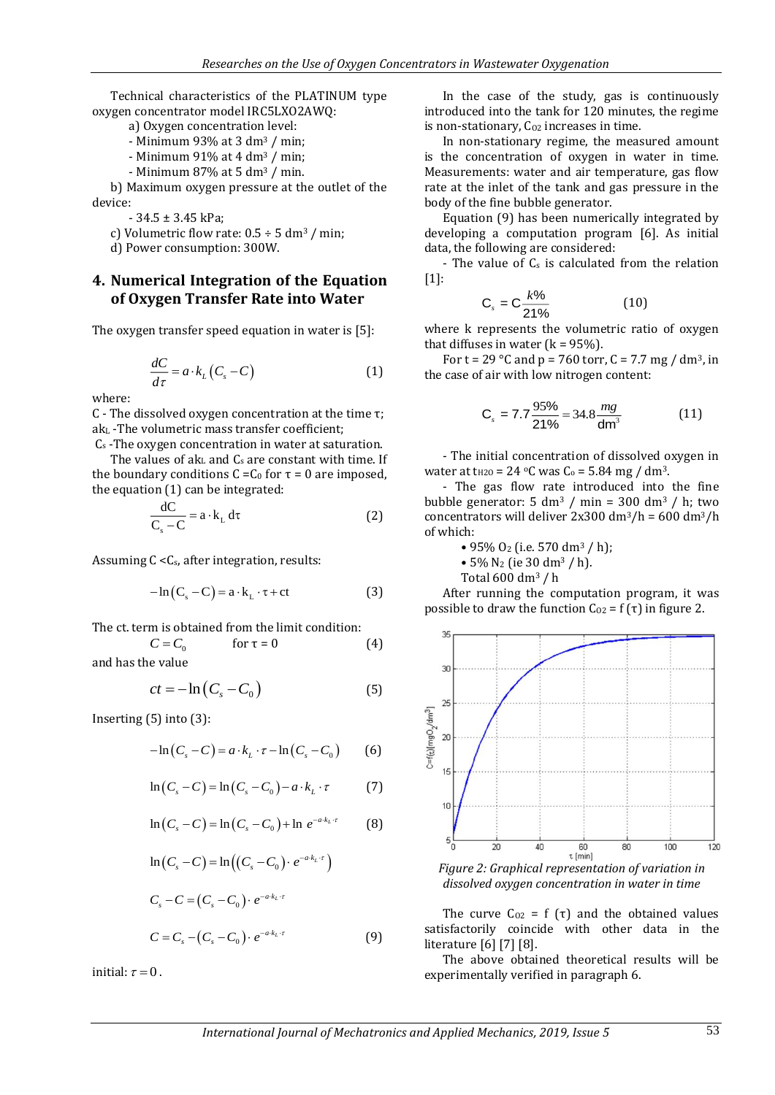Technical characteristics of the PLATINUM type oxygen concentrator model IRC5LXO2AWQ:

- a) Oxygen concentration level:
- Minimum 93% at 3 dm<sup>3</sup> / min;
- Minimum 91% at 4 dm<sup>3</sup> / min;
- Minimum  $87\%$  at 5 dm<sup>3</sup> / min.

b) Maximum oxygen pressure at the outlet of the device:

- 34.5 ± 3.45 kPa;

- c) Volumetric flow rate:  $0.5 \div 5$  dm<sup>3</sup> / min;
- d) Power consumption: 300W.

#### **4. Numerical Integration of the Equation of Oxygen Transfer Rate into Water**

The oxygen transfer speed equation in water is [5]:

$$
\frac{dC}{d\tau} = a \cdot k_L (C_s - C) \tag{1}
$$

where:

C - The dissolved oxygen concentration at the time τ; ak<sup>L</sup> -The volumetric mass transfer coefficient;

C<sup>s</sup> -The oxygen concentration in water at saturation. The values of  $ak<sub>L</sub>$  and  $C<sub>s</sub>$  are constant with time. If the boundary conditions  $C = C_0$  for  $\tau = 0$  are imposed, the equation (1) can be integrated:

$$
\frac{dC}{C_s - C} = a \cdot k_L d\tau
$$
 (2)

Assuming C <Cs, after integration, results:

$$
-\ln(C_s - C) = a \cdot k_L \cdot \tau + ct \tag{3}
$$

The ct. term is obtained from the limit condition:

$$
C = C_0 \qquad \qquad \text{for } \tau = 0 \tag{4}
$$

and has the value

$$
ct = -\ln\left(C_s - C_0\right) \tag{5}
$$

Inserting (5) into (3):

$$
-\ln(C_s - C) = a \cdot k_L \cdot \tau - \ln(C_s - C_0) \tag{6}
$$

$$
\ln(C_s - C) = \ln(C_s - C_0) - a \cdot k_L \cdot \tau \tag{7}
$$

$$
\ln(C_s - C) = \ln(C_s - C_0) + \ln e^{-a \cdot k_L \cdot \tau}
$$
 (8)

$$
\ln(C_s - C) = \ln((C_s - C_0) \cdot e^{-a k_L \cdot \tau})
$$
  
\n
$$
C_s - C = (C_s - C_0) \cdot e^{-a k_L \cdot \tau}
$$
  
\n
$$
C = C_s - (C_s - C_0) \cdot e^{-a k_L \cdot \tau}
$$
 (9)

initial:  $\tau = 0$  .

In the case of the study, gas is continuously introduced into the tank for 120 minutes, the regime is non-stationary,  $C_{02}$  increases in time.

In non-stationary regime, the measured amount is the concentration of oxygen in water in time. Measurements: water and air temperature, gas flow rate at the inlet of the tank and gas pressure in the body of the fine bubble generator.

Equation (9) has been numerically integrated by developing a computation program [6]. As initial data, the following are considered:

- The value of  $C_s$  is calculated from the relation  $[1]$ :

$$
C_s = C \frac{k\%}{21\%}
$$
 (10)

where k represents the volumetric ratio of oxygen that diffuses in water ( $k = 95\%$ ).

For t = 29 °C and p = 760 torr, C = 7.7 mg / dm<sup>3</sup>, in the case of air with low nitrogen content:

$$
C_s = 7.7 \frac{95\%}{21\%} = 34.8 \frac{mg}{dm^3}
$$
 (11)

- The initial concentration of dissolved oxygen in water at t<sub>H2O</sub> =  $24$  <sup>o</sup>C was C<sub>o</sub> =  $5.84$  mg / dm<sup>3</sup>.

- The gas flow rate introduced into the fine bubble generator: 5 dm<sup>3</sup> / min = 300 dm<sup>3</sup> / h; two concentrators will deliver  $2x300 \text{ dm}^3/h = 600 \text{ dm}^3/h$ of which:

• 95%  $O_2$  (i.e. 570 dm<sup>3</sup> / h);

• 5% N<sup>2</sup> (ie 30 dm<sup>3</sup> / h).

$$
Total 600 dm3 / h
$$

After running the computation program, it was possible to draw the function  $C_{02} = f(\tau)$  in figure 2.



*Figure 2: Graphical representation of variation in dissolved oxygen concentration in water in time*

The curve  $C_{02} = f(\tau)$  and the obtained values satisfactorily coincide with other data in the literature [6] [7] [8].

The above obtained theoretical results will be experimentally verified in paragraph 6.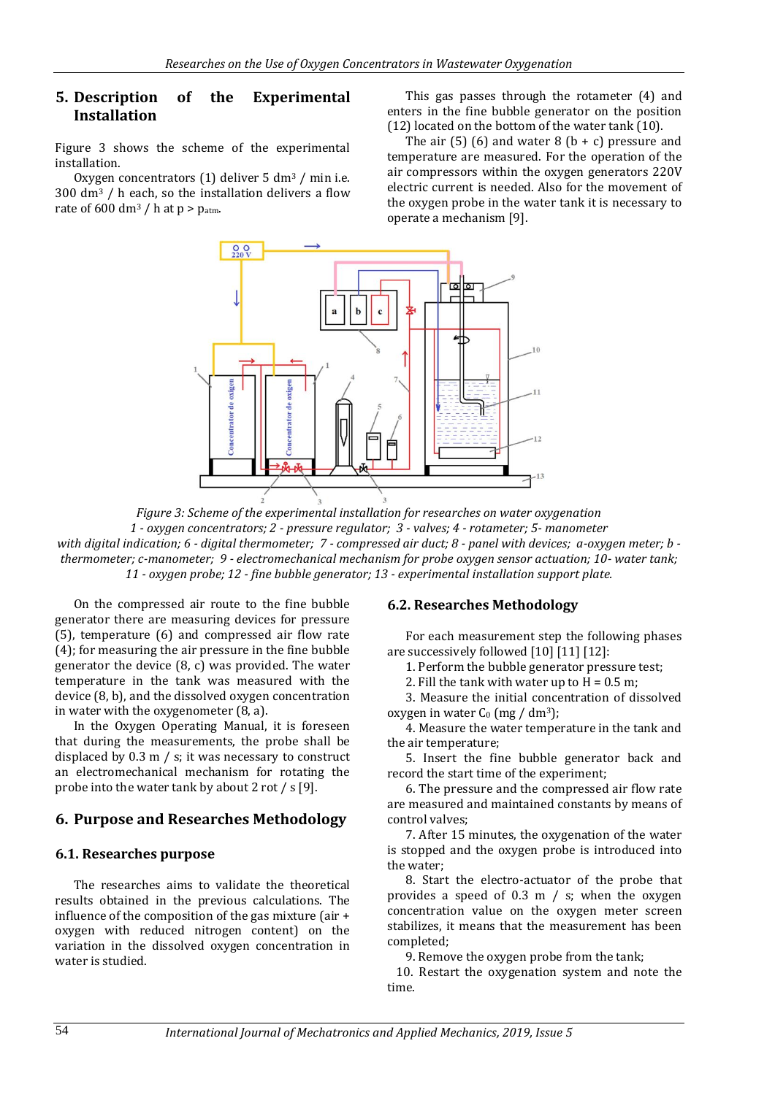#### **5. Description of the Experimental Installation**

Figure 3 shows the scheme of the experimental installation.

Oxygen concentrators (1) deliver 5 dm<sup>3</sup> / min i.e. 300 dm<sup>3</sup> / h each, so the installation delivers a flow rate of  $600 \text{ dm}^3$  / h at p > p<sub>atm</sub>.

This gas passes through the rotameter (4) and enters in the fine bubble generator on the position (12) located on the bottom of the water tank (10).

The air  $(5)$   $(6)$  and water 8  $(b + c)$  pressure and temperature are measured. For the operation of the air compressors within the oxygen generators 220V electric current is needed. Also for the movement of the oxygen probe in the water tank it is necessary to operate a mechanism [9].



*Figure 3: Scheme of the experimental installation for researches on water oxygenation 1 - oxygen concentrators; 2 - pressure regulator; 3 - valves; 4 - rotameter; 5- manometer*

*with digital indication; 6 - digital thermometer; 7 - compressed air duct; 8 - panel with devices; a-oxygen meter; b thermometer; c-manometer; 9 - electromechanical mechanism for probe oxygen sensor actuation; 10- water tank; 11 - oxygen probe; 12 - fine bubble generator; 13 - experimental installation support plate.*

On the compressed air route to the fine bubble generator there are measuring devices for pressure (5), temperature (6) and compressed air flow rate (4); for measuring the air pressure in the fine bubble generator the device (8, c) was provided. The water temperature in the tank was measured with the device (8, b), and the dissolved oxygen concentration in water with the oxygenometer (8, a).

In the Oxygen Operating Manual, it is foreseen that during the measurements, the probe shall be displaced by 0.3 m / s; it was necessary to construct an electromechanical mechanism for rotating the probe into the water tank by about 2 rot / s [9].

## **6. Purpose and Researches Methodology**

#### **6.1. Researches purpose**

The researches aims to validate the theoretical results obtained in the previous calculations. The influence of the composition of the gas mixture (air + oxygen with reduced nitrogen content) on the variation in the dissolved oxygen concentration in water is studied.

#### **6.2. Researches Methodology**

For each measurement step the following phases are successively followed [10] [11] [12]:

1. Perform the bubble generator pressure test;

2. Fill the tank with water up to  $H = 0.5$  m;

3. Measure the initial concentration of dissolved oxygen in water  $C_0$  (mg / dm<sup>3</sup>);

4. Measure the water temperature in the tank and the air temperature;

5. Insert the fine bubble generator back and record the start time of the experiment;

6. The pressure and the compressed air flow rate are measured and maintained constants by means of control valves;

7. After 15 minutes, the oxygenation of the water is stopped and the oxygen probe is introduced into the water;

8. Start the electro-actuator of the probe that provides a speed of  $0.3 \text{ m}$  / s; when the oxygen concentration value on the oxygen meter screen stabilizes, it means that the measurement has been completed;

9. Remove the oxygen probe from the tank;

10. Restart the oxygenation system and note the time.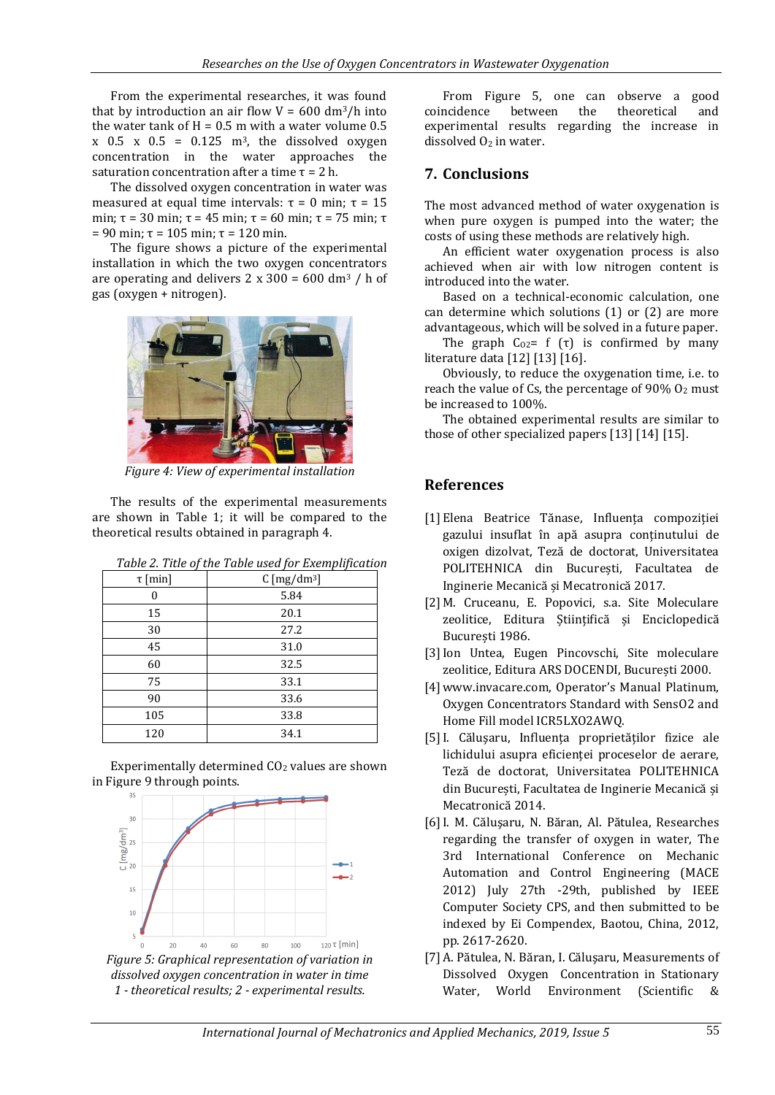From the experimental researches, it was found that by introduction an air flow  $V = 600$  dm<sup>3</sup>/h into the water tank of  $H = 0.5$  m with a water volume 0.5  $x$  0.5  $x$  0.5 = 0.125 m<sup>3</sup>, the dissolved oxygen concentration in the water approaches the saturation concentration after a time  $\tau = 2$  h.

The dissolved oxygen concentration in water was measured at equal time intervals:  $τ = 0$  min;  $τ = 15$ min; τ = 30 min; τ = 45 min; τ = 60 min; τ = 75 min; τ = 90 min; τ = 105 min; τ = 120 min.

The figure shows a picture of the experimental installation in which the two oxygen concentrators are operating and delivers  $2 \times 300 = 600$  dm<sup>3</sup> / h of gas (oxygen + nitrogen).



*Figure 4: View of experimental installation*

The results of the experimental measurements are shown in Table 1; it will be compared to the theoretical results obtained in paragraph 4.

| rubic Li Title of the Tubic about for Exemployment |                               |  |
|----------------------------------------------------|-------------------------------|--|
| $\tau$ [min]                                       | $C \,[\text{mg}/\text{dm}^3]$ |  |
|                                                    | 5.84                          |  |
| 15                                                 | 20.1                          |  |
| 30                                                 | 27.2                          |  |
| 45                                                 | 31.0                          |  |
| 60                                                 | 32.5                          |  |
| 75                                                 | 33.1                          |  |
| 90                                                 | 33.6                          |  |
| 105                                                | 33.8                          |  |
| 120                                                | 34.1                          |  |

*Table 2. Title of the Table used for Exemplification*

Experimentally determined  $CO<sub>2</sub>$  values are shown in Figure 9 through points.



*1 - theoretical results; 2 - experimental results.*

From Figure 5, one can observe a good coincidence between the theoretical and experimental results regarding the increase in dissolved  $0<sub>2</sub>$  in water.

## **7. Conclusions**

The most advanced method of water oxygenation is when pure oxygen is pumped into the water; the costs of using these methods are relatively high.

An efficient water oxygenation process is also achieved when air with low nitrogen content is introduced into the water.

Based on a technical-economic calculation, one can determine which solutions (1) or (2) are more advantageous, which will be solved in a future paper.

The graph  $C_{02}$ = f (τ) is confirmed by many literature data [12] [13] [16].

Obviously, to reduce the oxygenation time, i.e. to reach the value of Cs, the percentage of  $90\%$  O<sub>2</sub> must be increased to 100%.

The obtained experimental results are similar to those of other specialized papers [13] [14] [15].

## **References**

- [1] Elena Beatrice Tănase, Influența compoziției gazului insuflat în apă asupra conținutului de oxigen dizolvat, Teză de doctorat, Universitatea POLITEHNICA din București, Facultatea de Inginerie Mecanică și Mecatronică 2017.
- [2] M. Cruceanu, E. Popovici, s.a. Site Moleculare zeolitice, Editura Științifică și Enciclopedică București 1986.
- [3]Ion Untea, Eugen Pincovschi, Site moleculare zeolitice, Editura ARS DOCENDI, București 2000.
- [4] www.invacare.com, Operator's Manual Platinum, Oxygen Concentrators Standard with SensO2 and Home Fill model ICR5LXO2AWQ.
- [5]I. Căluşaru, Influența proprietăților fizice ale lichidului asupra eficienței proceselor de aerare, Teză de doctorat, Universitatea POLITEHNICA din București, Facultatea de Inginerie Mecanică și Mecatronică 2014.
- [6]I. M. Căluşaru, N. Băran, Al. Pătulea, Researches regarding the transfer of oxygen in water, The 3rd International Conference on Mechanic Automation and Control Engineering (MACE 2012) July 27th -29th, published by IEEE Computer Society CPS, and then submitted to be indexed by Ei Compendex, Baotou, China, 2012, pp. 2617-2620.
- [7] A. Pătulea, N. Băran, I. Căluşaru, Measurements of Dissolved Oxygen Concentration in Stationary Water, World Environment (Scientific &